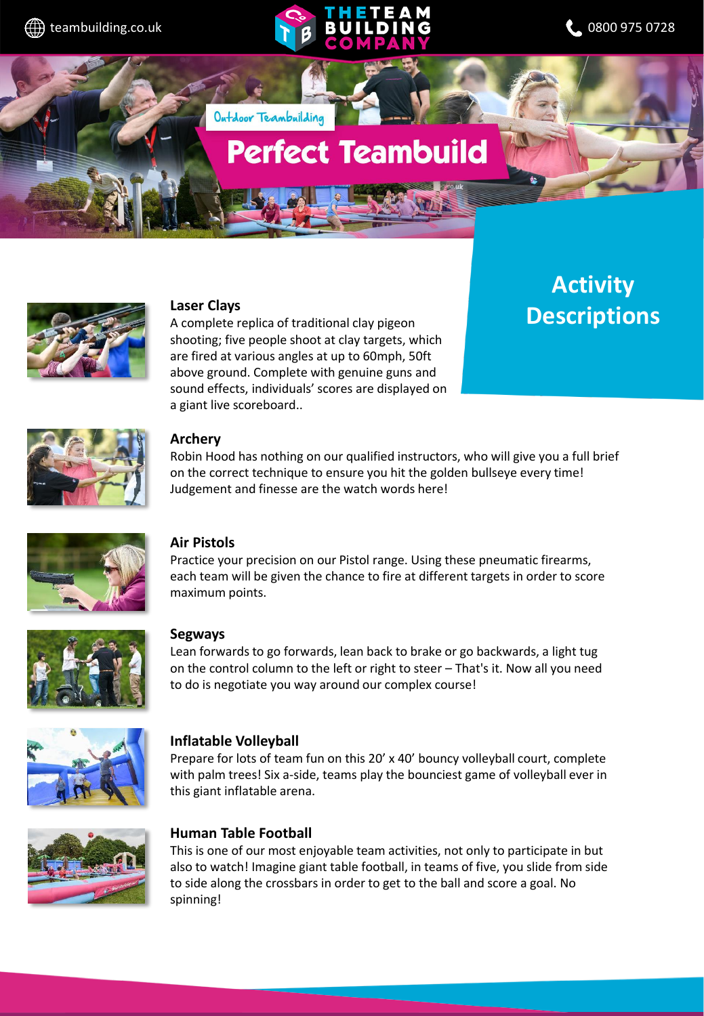



# **Perfect Teambuild**



#### **Laser Clays**

A complete replica of traditional clay pigeon shooting; five people shoot at clay targets, which are fired at various angles at up to 60mph, 50ft above ground. Complete with genuine guns and sound effects, individuals' scores are displayed on a giant live scoreboard..

Outdoor Teambuilding

**Activity Descriptions**



#### **Archery**

Robin Hood has nothing on our qualified instructors, who will give you a full brief on the correct technique to ensure you hit the golden bullseye every time! Judgement and finesse are the watch words here!



#### **Air Pistols**

Practice your precision on our Pistol range. Using these pneumatic firearms, each team will be given the chance to fire at different targets in order to score maximum points.



#### **Segways**

Lean forwards to go forwards, lean back to brake or go backwards, a light tug on the control column to the left or right to steer – That's it. Now all you need to do is negotiate you way around our complex course!



#### **Inflatable Volleyball**

Prepare for lots of team fun on this 20' x 40' bouncy volleyball court, complete with palm trees! Six a-side, teams play the bounciest game of volleyball ever in this giant inflatable arena.



#### **Human Table Football**

This is one of our most enjoyable team activities, not only to participate in but also to watch! Imagine giant table football, in teams of five, you slide from side to side along the crossbars in order to get to the ball and score a goal. No spinning!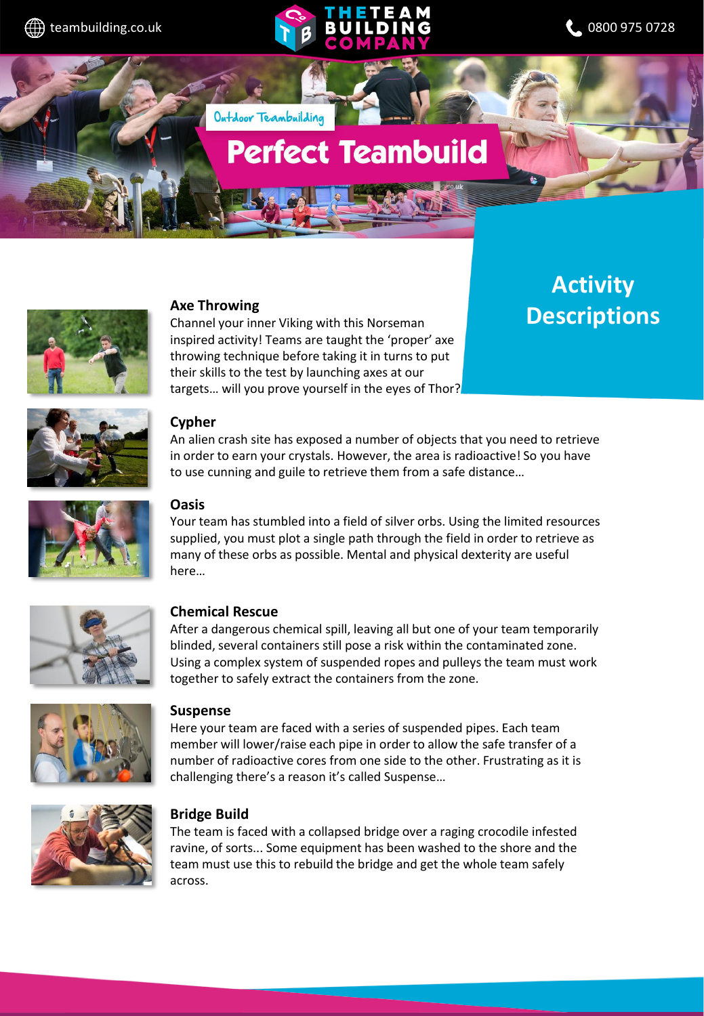



# **Perfect Teambuild**



#### **Axe Throwing**

Outdoor Teambuilding

Channel your inner Viking with this Norseman inspired activity! Teams are taught the 'proper' axe throwing technique before taking it in turns to put their skills to the test by launching axes at our targets… will you prove yourself in the eyes of Thor?

### **Activity Descriptions**





#### **Cypher**

An alien crash site has exposed a number of objects that you need to retrieve in order to earn your crystals. However, the area is radioactive! So you have to use cunning and guile to retrieve them from a safe distance…

#### **Oasis**

Your team has stumbled into a field of silver orbs. Using the limited resources supplied, you must plot a single path through the field in order to retrieve as many of these orbs as possible. Mental and physical dexterity are useful here…



#### **Chemical Rescue**

After a dangerous chemical spill, leaving all but one of your team temporarily blinded, several containers still pose a risk within the contaminated zone. Using a complex system of suspended ropes and pulleys the team must work together to safely extract the containers from the zone.



#### **Suspense**

Here your team are faced with a series of suspended pipes. Each team member will lower/raise each pipe in order to allow the safe transfer of a number of radioactive cores from one side to the other. Frustrating as it is challenging there's a reason it's called Suspense…



#### **Bridge Build**

The team is faced with a collapsed bridge over a raging crocodile infested ravine, of sorts... Some equipment has been washed to the shore and the team must use this to rebuild the bridge and get the whole team safely across.